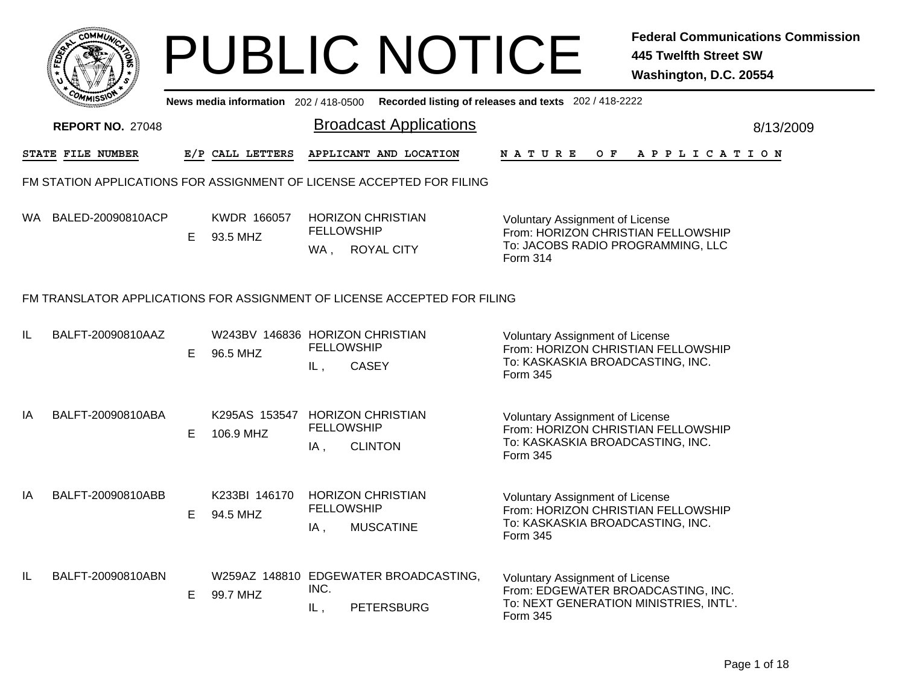|     | <b>COMMUT</b>                                                            |    |                                       | <b>PUBLIC NOTICE</b>                                                        |                                                                                        | <b>Federal Communications Commission</b><br><b>445 Twelfth Street SW</b><br>Washington, D.C. 20554 |  |  |  |  |
|-----|--------------------------------------------------------------------------|----|---------------------------------------|-----------------------------------------------------------------------------|----------------------------------------------------------------------------------------|----------------------------------------------------------------------------------------------------|--|--|--|--|
|     |                                                                          |    | News media information 202 / 418-0500 |                                                                             | Recorded listing of releases and texts 202 / 418-2222                                  |                                                                                                    |  |  |  |  |
|     | <b>REPORT NO. 27048</b>                                                  |    |                                       | <b>Broadcast Applications</b>                                               |                                                                                        | 8/13/2009                                                                                          |  |  |  |  |
|     | STATE FILE NUMBER                                                        |    | E/P CALL LETTERS                      | APPLICANT AND LOCATION                                                      | N A T U R E<br>$O$ $\bf{F}$                                                            | A P P L I C A T I O N                                                                              |  |  |  |  |
|     |                                                                          |    |                                       | FM STATION APPLICATIONS FOR ASSIGNMENT OF LICENSE ACCEPTED FOR FILING       |                                                                                        |                                                                                                    |  |  |  |  |
| WA. | BALED-20090810ACP                                                        | E  | KWDR 166057<br>93.5 MHZ               | <b>HORIZON CHRISTIAN</b><br><b>FELLOWSHIP</b><br>ROYAL CITY<br>WA,          | <b>Voluntary Assignment of License</b><br>Form 314                                     | From: HORIZON CHRISTIAN FELLOWSHIP<br>To: JACOBS RADIO PROGRAMMING, LLC                            |  |  |  |  |
|     | FM TRANSLATOR APPLICATIONS FOR ASSIGNMENT OF LICENSE ACCEPTED FOR FILING |    |                                       |                                                                             |                                                                                        |                                                                                                    |  |  |  |  |
| IL  | BALFT-20090810AAZ                                                        | E. | 96.5 MHZ                              | W243BV 146836 HORIZON CHRISTIAN<br><b>FELLOWSHIP</b><br><b>CASEY</b><br>IL, | <b>Voluntary Assignment of License</b><br>To: KASKASKIA BROADCASTING, INC.<br>Form 345 | From: HORIZON CHRISTIAN FELLOWSHIP                                                                 |  |  |  |  |
| IA  | BALFT-20090810ABA                                                        | E. | K295AS 153547<br>106.9 MHZ            | <b>HORIZON CHRISTIAN</b><br><b>FELLOWSHIP</b><br><b>CLINTON</b><br>IA,      | <b>Voluntary Assignment of License</b><br>To: KASKASKIA BROADCASTING, INC.<br>Form 345 | From: HORIZON CHRISTIAN FELLOWSHIP                                                                 |  |  |  |  |
| IA  | BALFT-20090810ABB                                                        | E. | K233BI 146170<br>94.5 MHZ             | <b>HORIZON CHRISTIAN</b><br><b>FELLOWSHIP</b><br><b>MUSCATINE</b><br>IA,    | <b>Voluntary Assignment of License</b><br>To: KASKASKIA BROADCASTING, INC.<br>Form 345 | From: HORIZON CHRISTIAN FELLOWSHIP                                                                 |  |  |  |  |
| IL  | BALFT-20090810ABN                                                        | E. | 99.7 MHZ                              | W259AZ 148810 EDGEWATER BROADCASTING,<br>INC.<br>IL,<br><b>PETERSBURG</b>   | <b>Voluntary Assignment of License</b><br>Form 345                                     | From: EDGEWATER BROADCASTING, INC.<br>To: NEXT GENERATION MINISTRIES, INTL'.                       |  |  |  |  |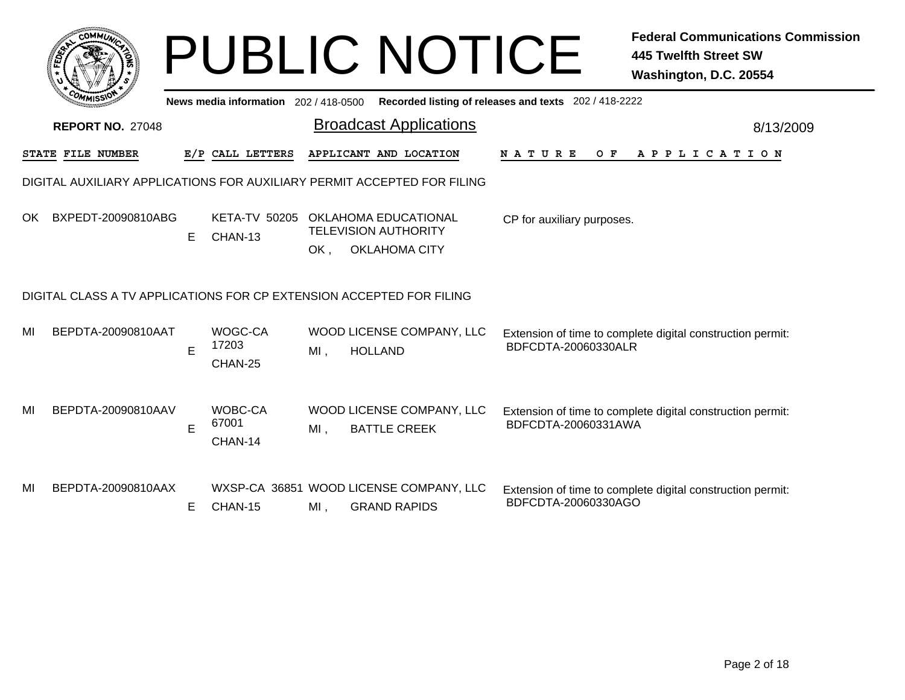|     | <b>COMMUT</b>                                                        |    | News media information 202 / 418-0500 |        | <b>PUBLIC NOTICE</b>                                                        | Recorded listing of releases and texts 202 / 418-2222 | <b>Federal Communications Commission</b><br>445 Twelfth Street SW<br>Washington, D.C. 20554 |
|-----|----------------------------------------------------------------------|----|---------------------------------------|--------|-----------------------------------------------------------------------------|-------------------------------------------------------|---------------------------------------------------------------------------------------------|
|     | <b>REPORT NO. 27048</b>                                              |    |                                       |        | <b>Broadcast Applications</b>                                               |                                                       | 8/13/2009                                                                                   |
|     | STATE FILE NUMBER                                                    |    | E/P CALL LETTERS                      |        | APPLICANT AND LOCATION                                                      | <b>NATURE</b><br>O F                                  | A P P L I C A T I O N                                                                       |
|     |                                                                      |    |                                       |        | DIGITAL AUXILIARY APPLICATIONS FOR AUXILIARY PERMIT ACCEPTED FOR FILING     |                                                       |                                                                                             |
| OK. | BXPEDT-20090810ABG                                                   | E  | <b>KETA-TV 50205</b><br>CHAN-13       | OK,    | OKLAHOMA EDUCATIONAL<br><b>TELEVISION AUTHORITY</b><br><b>OKLAHOMA CITY</b> | CP for auxiliary purposes.                            |                                                                                             |
|     | DIGITAL CLASS A TV APPLICATIONS FOR CP EXTENSION ACCEPTED FOR FILING |    |                                       |        |                                                                             |                                                       |                                                                                             |
| MI  | BEPDTA-20090810AAT                                                   | E  | WOGC-CA<br>17203<br>CHAN-25           | MI,    | WOOD LICENSE COMPANY, LLC<br><b>HOLLAND</b>                                 | BDFCDTA-20060330ALR                                   | Extension of time to complete digital construction permit:                                  |
| MI  | BEPDTA-20090810AAV                                                   | Е  | WOBC-CA<br>67001<br>CHAN-14           | $MI$ , | WOOD LICENSE COMPANY, LLC<br><b>BATTLE CREEK</b>                            | BDFCDTA-20060331AWA                                   | Extension of time to complete digital construction permit:                                  |
| MI  | BEPDTA-20090810AAX                                                   | E. | CHAN-15                               | MI,    | WXSP-CA 36851 WOOD LICENSE COMPANY, LLC<br><b>GRAND RAPIDS</b>              | BDFCDTA-20060330AGO                                   | Extension of time to complete digital construction permit:                                  |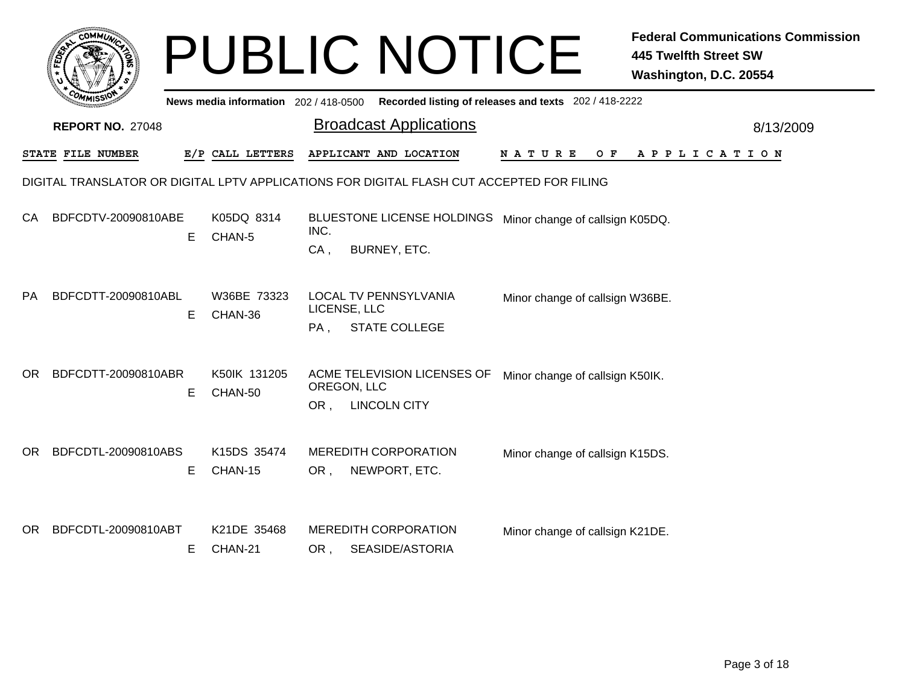|     | ϲΟΜΜ $\iota_{\tilde{\boldsymbol{\omega}}}$ |   |                                       |                | <b>PUBLIC NOTICE</b>                                                                      |                                                       | <b>Federal Communications Commission</b><br><b>445 Twelfth Street SW</b><br>Washington, D.C. 20554 |
|-----|--------------------------------------------|---|---------------------------------------|----------------|-------------------------------------------------------------------------------------------|-------------------------------------------------------|----------------------------------------------------------------------------------------------------|
|     |                                            |   | News media information 202 / 418-0500 |                |                                                                                           | Recorded listing of releases and texts 202 / 418-2222 |                                                                                                    |
|     | <b>REPORT NO. 27048</b>                    |   |                                       |                | <b>Broadcast Applications</b>                                                             |                                                       | 8/13/2009                                                                                          |
|     | STATE FILE NUMBER                          |   | E/P CALL LETTERS                      |                | APPLICANT AND LOCATION                                                                    | <b>NATURE</b><br>O F                                  | A P P L I C A T I O N                                                                              |
|     |                                            |   |                                       |                | DIGITAL TRANSLATOR OR DIGITAL LPTV APPLICATIONS FOR DIGITAL FLASH CUT ACCEPTED FOR FILING |                                                       |                                                                                                    |
| CA  | BDFCDTV-20090810ABE                        | Е | K05DQ 8314<br>CHAN-5                  | INC.<br>$CA$ . | BLUESTONE LICENSE HOLDINGS Minor change of callsign K05DQ.<br>BURNEY, ETC.                |                                                       |                                                                                                    |
| PA  | BDFCDTT-20090810ABL                        | E | W36BE 73323<br>CHAN-36                | PA,            | <b>LOCAL TV PENNSYLVANIA</b><br>LICENSE, LLC<br><b>STATE COLLEGE</b>                      | Minor change of callsign W36BE.                       |                                                                                                    |
| OR. | BDFCDTT-20090810ABR                        | Е | K50IK 131205<br>CHAN-50               | OR,            | ACME TELEVISION LICENSES OF<br>OREGON, LLC<br><b>LINCOLN CITY</b>                         | Minor change of callsign K50IK.                       |                                                                                                    |
| OR  | BDFCDTL-20090810ABS                        | Е | K15DS 35474<br>CHAN-15                | OR,            | <b>MEREDITH CORPORATION</b><br>NEWPORT, ETC.                                              | Minor change of callsign K15DS.                       |                                                                                                    |
| OR  | BDFCDTL-20090810ABT                        | Е | K21DE 35468<br>CHAN-21                | OR ,           | <b>MEREDITH CORPORATION</b><br>SEASIDE/ASTORIA                                            | Minor change of callsign K21DE.                       |                                                                                                    |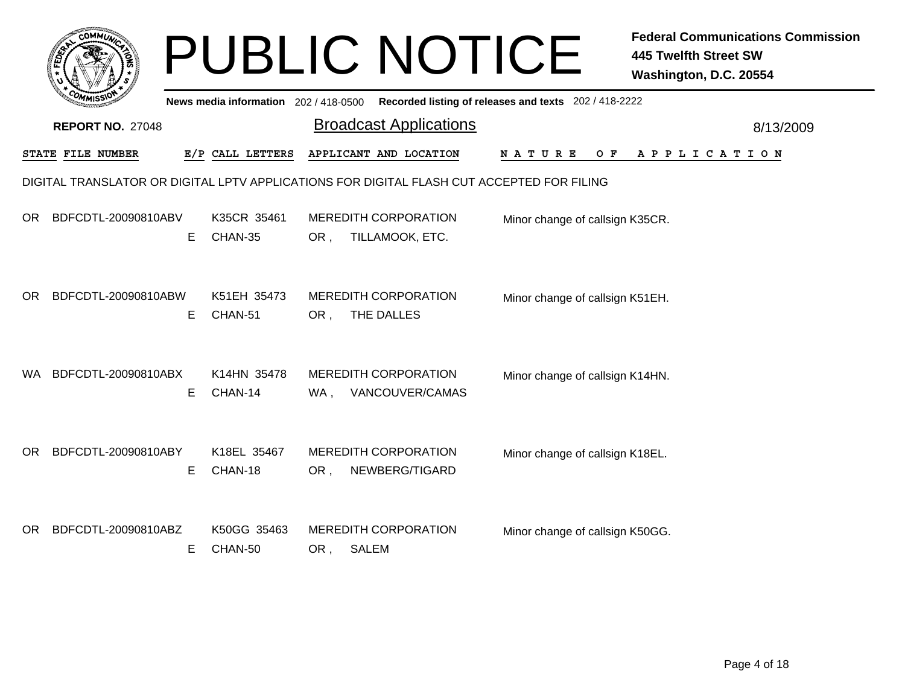|     | <b>COMMUN</b>             |                                       | <b>PUBLIC NOTICE</b>                                                                      |                                                       | <b>Federal Communications Commission</b><br><b>445 Twelfth Street SW</b><br>Washington, D.C. 20554 |
|-----|---------------------------|---------------------------------------|-------------------------------------------------------------------------------------------|-------------------------------------------------------|----------------------------------------------------------------------------------------------------|
|     |                           | News media information 202 / 418-0500 |                                                                                           | Recorded listing of releases and texts 202 / 418-2222 |                                                                                                    |
|     | <b>REPORT NO. 27048</b>   |                                       | <b>Broadcast Applications</b>                                                             |                                                       | 8/13/2009                                                                                          |
|     | STATE FILE NUMBER         | E/P CALL LETTERS                      | APPLICANT AND LOCATION                                                                    | N A T U R E<br>O F                                    | A P P L I C A T I O N                                                                              |
|     |                           |                                       | DIGITAL TRANSLATOR OR DIGITAL LPTV APPLICATIONS FOR DIGITAL FLASH CUT ACCEPTED FOR FILING |                                                       |                                                                                                    |
| OR. | BDFCDTL-20090810ABV<br>E. | K35CR 35461<br>CHAN-35                | <b>MEREDITH CORPORATION</b><br>TILLAMOOK, ETC.<br>OR,                                     | Minor change of callsign K35CR.                       |                                                                                                    |
| OR. | BDFCDTL-20090810ABW<br>E. | K51EH 35473<br>CHAN-51                | <b>MEREDITH CORPORATION</b><br>THE DALLES<br>OR,                                          | Minor change of callsign K51EH.                       |                                                                                                    |
| WA. | BDFCDTL-20090810ABX<br>Е  | K14HN 35478<br>CHAN-14                | <b>MEREDITH CORPORATION</b><br>VANCOUVER/CAMAS<br>WA ,                                    | Minor change of callsign K14HN.                       |                                                                                                    |
| OR. | BDFCDTL-20090810ABY<br>E. | K18EL 35467<br>CHAN-18                | <b>MEREDITH CORPORATION</b><br>NEWBERG/TIGARD<br>OR,                                      | Minor change of callsign K18EL.                       |                                                                                                    |
| OR. | BDFCDTL-20090810ABZ<br>Е  | K50GG 35463<br>CHAN-50                | <b>MEREDITH CORPORATION</b><br>SALEM<br>OR,                                               | Minor change of callsign K50GG.                       |                                                                                                    |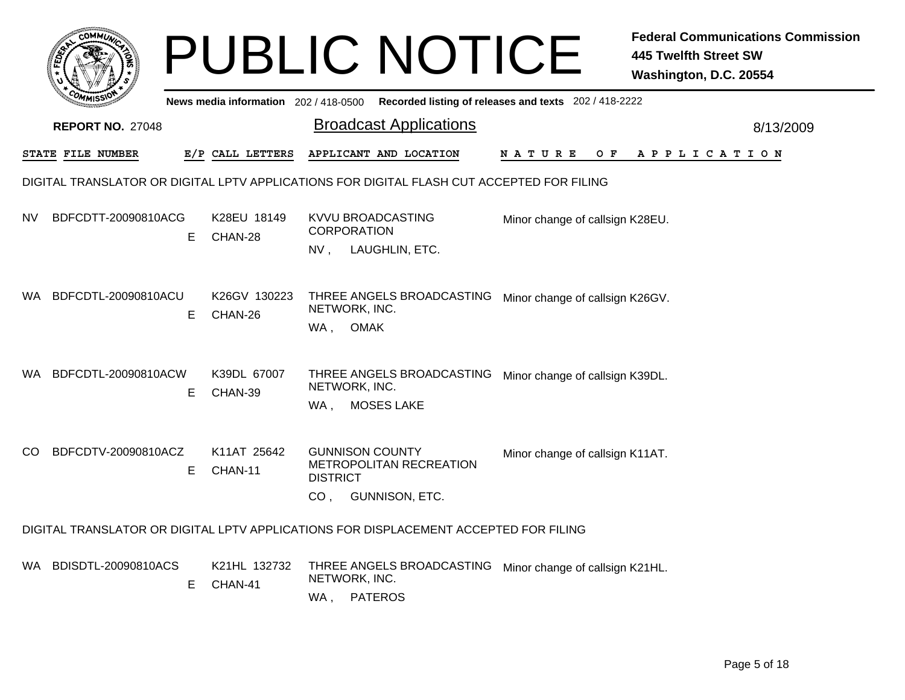|      | <b>COMMUT</b>           |    |                                     |                                    | <b>PUBLIC NOTICE</b>                                                                      |                                                       | <b>Federal Communications Commission</b><br><b>445 Twelfth Street SW</b><br>Washington, D.C. 20554 |
|------|-------------------------|----|-------------------------------------|------------------------------------|-------------------------------------------------------------------------------------------|-------------------------------------------------------|----------------------------------------------------------------------------------------------------|
|      |                         |    | News media information 202/418-0500 |                                    |                                                                                           | Recorded listing of releases and texts 202 / 418-2222 |                                                                                                    |
|      | <b>REPORT NO. 27048</b> |    |                                     |                                    | <b>Broadcast Applications</b>                                                             |                                                       | 8/13/2009                                                                                          |
|      | STATE FILE NUMBER       |    | E/P CALL LETTERS                    |                                    | APPLICANT AND LOCATION                                                                    | NATURE<br>O F                                         | A P P L I C A T I O N                                                                              |
|      |                         |    |                                     |                                    | DIGITAL TRANSLATOR OR DIGITAL LPTV APPLICATIONS FOR DIGITAL FLASH CUT ACCEPTED FOR FILING |                                                       |                                                                                                    |
| NV   | BDFCDTT-20090810ACG     | Е  | K28EU 18149<br>CHAN-28              | $NV$ ,                             | KVVU BROADCASTING<br><b>CORPORATION</b><br>LAUGHLIN, ETC.                                 | Minor change of callsign K28EU.                       |                                                                                                    |
| WA.  | BDFCDTL-20090810ACU     | E. | K26GV 130223<br>CHAN-26             | WA, OMAK                           | THREE ANGELS BROADCASTING<br>NETWORK, INC.                                                | Minor change of callsign K26GV.                       |                                                                                                    |
| WA.  | BDFCDTL-20090810ACW     | Е  | K39DL 67007<br>CHAN-39              | WA.                                | THREE ANGELS BROADCASTING<br>NETWORK, INC.<br><b>MOSES LAKE</b>                           | Minor change of callsign K39DL.                       |                                                                                                    |
| CO.  | BDFCDTV-20090810ACZ     | Е  | K11AT 25642<br>CHAN-11              | <b>DISTRICT</b><br>CO <sub>1</sub> | <b>GUNNISON COUNTY</b><br>METROPOLITAN RECREATION<br>GUNNISON, ETC.                       | Minor change of callsign K11AT.                       |                                                                                                    |
|      |                         |    |                                     |                                    | DIGITAL TRANSLATOR OR DIGITAL LPTV APPLICATIONS FOR DISPLACEMENT ACCEPTED FOR FILING      |                                                       |                                                                                                    |
| WA . | BDISDTL-20090810ACS     | E  | K21HL 132732<br>CHAN-41             | WA,                                | THREE ANGELS BROADCASTING<br>NETWORK, INC.<br><b>PATEROS</b>                              | Minor change of callsign K21HL.                       |                                                                                                    |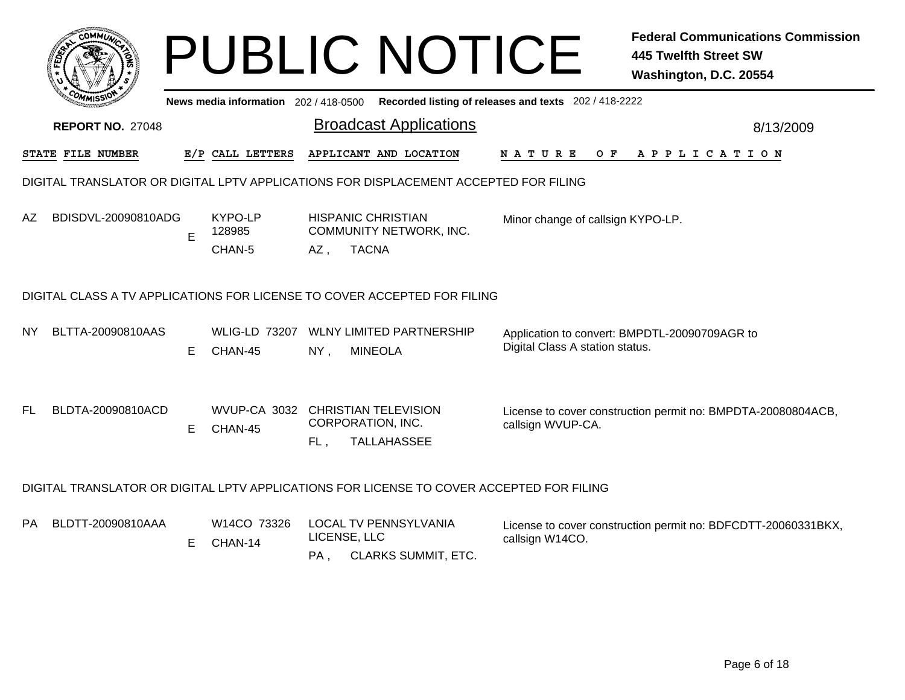|     |                                                                                          |    |                                     |                     | <b>PUBLIC NOTICE</b>                                                                 |                                                       | <b>Federal Communications Commission</b><br><b>445 Twelfth Street SW</b><br>Washington, D.C. 20554 |  |  |
|-----|------------------------------------------------------------------------------------------|----|-------------------------------------|---------------------|--------------------------------------------------------------------------------------|-------------------------------------------------------|----------------------------------------------------------------------------------------------------|--|--|
|     |                                                                                          |    | News media information 202/418-0500 |                     |                                                                                      | Recorded listing of releases and texts 202 / 418-2222 |                                                                                                    |  |  |
|     | <b>REPORT NO. 27048</b>                                                                  |    |                                     |                     | <b>Broadcast Applications</b>                                                        |                                                       | 8/13/2009                                                                                          |  |  |
|     | STATE FILE NUMBER                                                                        |    | E/P CALL LETTERS                    |                     | APPLICANT AND LOCATION                                                               | N A T U R E<br>O F                                    | APPLICATION                                                                                        |  |  |
|     |                                                                                          |    |                                     |                     | DIGITAL TRANSLATOR OR DIGITAL LPTV APPLICATIONS FOR DISPLACEMENT ACCEPTED FOR FILING |                                                       |                                                                                                    |  |  |
| AZ  | BDISDVL-20090810ADG                                                                      | E  | KYPO-LP<br>128985                   |                     | <b>HISPANIC CHRISTIAN</b><br><b>COMMUNITY NETWORK, INC.</b>                          | Minor change of callsign KYPO-LP.                     |                                                                                                    |  |  |
|     |                                                                                          |    | CHAN-5                              | AZ,                 | <b>TACNA</b>                                                                         |                                                       |                                                                                                    |  |  |
|     | DIGITAL CLASS A TV APPLICATIONS FOR LICENSE TO COVER ACCEPTED FOR FILING                 |    |                                     |                     |                                                                                      |                                                       |                                                                                                    |  |  |
| NY. | BLTTA-20090810AAS                                                                        | E. | WLIG-LD 73207<br>CHAN-45            | NY,                 | <b>WLNY LIMITED PARTNERSHIP</b><br><b>MINEOLA</b>                                    | Digital Class A station status.                       | Application to convert: BMPDTL-20090709AGR to                                                      |  |  |
| FL  | BLDTA-20090810ACD                                                                        | E. | CHAN-45                             | FL.                 | WVUP-CA 3032 CHRISTIAN TELEVISION<br>CORPORATION, INC.<br><b>TALLAHASSEE</b>         | callsign WVUP-CA.                                     | License to cover construction permit no: BMPDTA-20080804ACB,                                       |  |  |
|     | DIGITAL TRANSLATOR OR DIGITAL LPTV APPLICATIONS FOR LICENSE TO COVER ACCEPTED FOR FILING |    |                                     |                     |                                                                                      |                                                       |                                                                                                    |  |  |
| РA  | BLDTT-20090810AAA                                                                        | E. | W <sub>14</sub> CO 73326<br>CHAN-14 | LICENSE, LLC<br>PA. | <b>LOCAL TV PENNSYLVANIA</b><br>CLARKS SUMMIT, ETC.                                  | callsign W14CO.                                       | License to cover construction permit no: BDFCDTT-20060331BKX,                                      |  |  |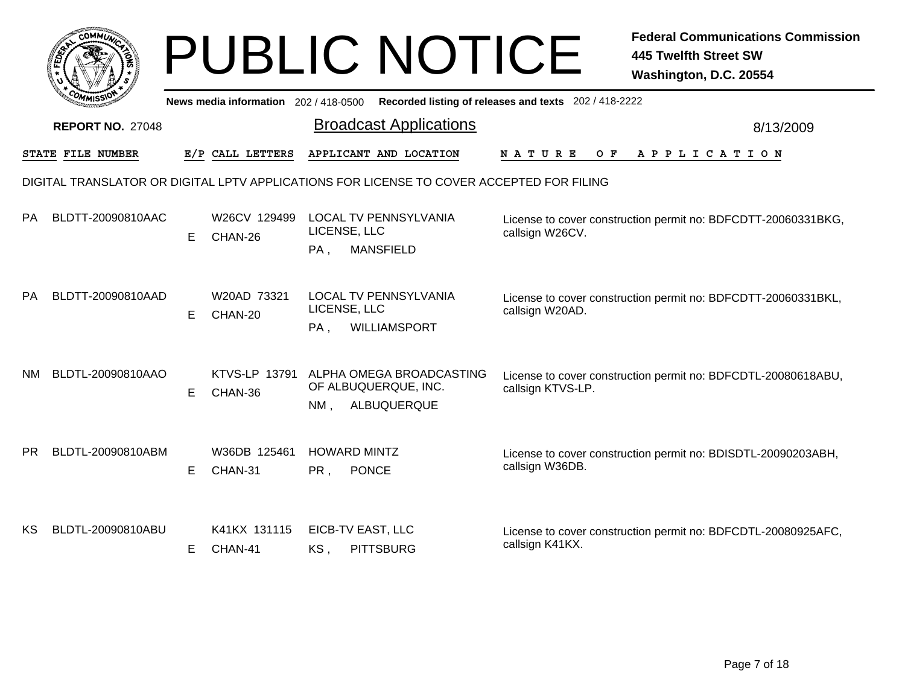|     |                                                                                          |    |                                       |     | <b>PUBLIC NOTICE</b>                                                |                                                       | <b>Federal Communications Commission</b><br><b>445 Twelfth Street SW</b><br>Washington, D.C. 20554 |  |  |  |  |
|-----|------------------------------------------------------------------------------------------|----|---------------------------------------|-----|---------------------------------------------------------------------|-------------------------------------------------------|----------------------------------------------------------------------------------------------------|--|--|--|--|
|     |                                                                                          |    | News media information 202 / 418-0500 |     |                                                                     | Recorded listing of releases and texts 202 / 418-2222 |                                                                                                    |  |  |  |  |
|     | <b>REPORT NO. 27048</b>                                                                  |    |                                       |     | <b>Broadcast Applications</b>                                       |                                                       | 8/13/2009                                                                                          |  |  |  |  |
|     | <b>STATE FILE NUMBER</b>                                                                 |    | E/P CALL LETTERS                      |     | APPLICANT AND LOCATION                                              | O F<br>N A T U R E                                    | A P P L I C A T I O N                                                                              |  |  |  |  |
|     | DIGITAL TRANSLATOR OR DIGITAL LPTV APPLICATIONS FOR LICENSE TO COVER ACCEPTED FOR FILING |    |                                       |     |                                                                     |                                                       |                                                                                                    |  |  |  |  |
| РA  | BLDTT-20090810AAC                                                                        | E. | W26CV 129499<br>CHAN-26               | PA, | <b>LOCAL TV PENNSYLVANIA</b><br>LICENSE, LLC<br><b>MANSFIELD</b>    | callsign W26CV.                                       | License to cover construction permit no: BDFCDTT-20060331BKG,                                      |  |  |  |  |
| PA  | BLDTT-20090810AAD                                                                        | Е  | W20AD 73321<br>CHAN-20                | PA, | <b>LOCAL TV PENNSYLVANIA</b><br>LICENSE, LLC<br><b>WILLIAMSPORT</b> | callsign W20AD.                                       | License to cover construction permit no: BDFCDTT-20060331BKL,                                      |  |  |  |  |
| NM  | BLDTL-20090810AAO                                                                        | E  | KTVS-LP 13791<br>CHAN-36              | NM. | ALPHA OMEGA BROADCASTING<br>OF ALBUQUERQUE, INC.<br>ALBUQUERQUE     | callsign KTVS-LP.                                     | License to cover construction permit no: BDFCDTL-20080618ABU,                                      |  |  |  |  |
| PR. | BLDTL-20090810ABM                                                                        | E. | W36DB 125461<br>CHAN-31               | PR, | <b>HOWARD MINTZ</b><br><b>PONCE</b>                                 | callsign W36DB.                                       | License to cover construction permit no: BDISDTL-20090203ABH,                                      |  |  |  |  |
| KS. | BLDTL-20090810ABU                                                                        | E. | K41KX 131115<br>CHAN-41               | KS, | EICB-TV EAST, LLC<br><b>PITTSBURG</b>                               | callsign K41KX.                                       | License to cover construction permit no: BDFCDTL-20080925AFC,                                      |  |  |  |  |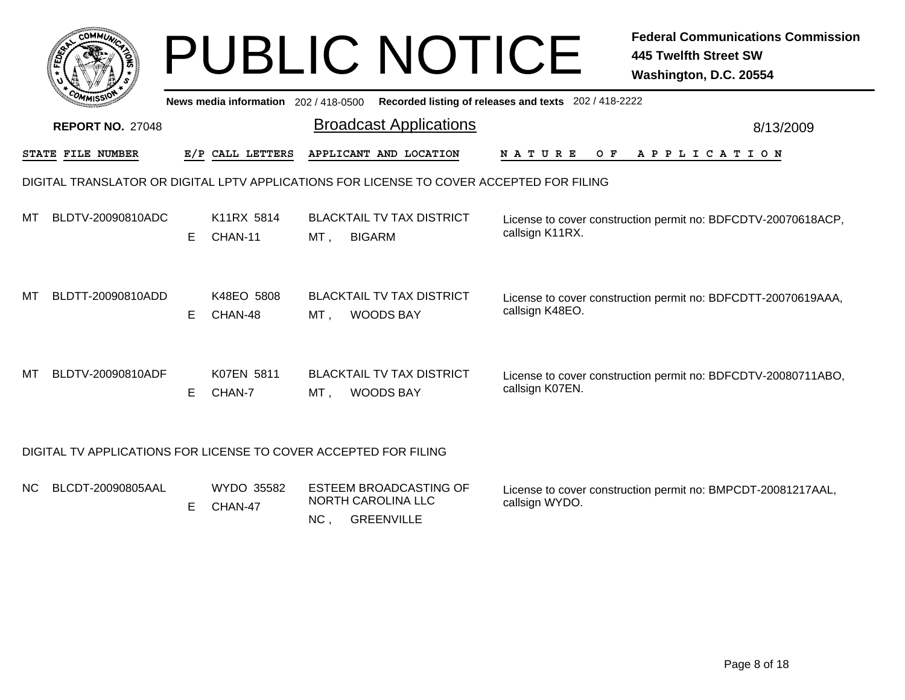|    | <b>COMMUT</b>           |   |                                       | <b>PUBLIC NOTICE</b>                                                                     |                                                       | <b>Federal Communications Commission</b><br>445 Twelfth Street SW<br>Washington, D.C. 20554 |
|----|-------------------------|---|---------------------------------------|------------------------------------------------------------------------------------------|-------------------------------------------------------|---------------------------------------------------------------------------------------------|
|    |                         |   | News media information 202 / 418-0500 |                                                                                          | Recorded listing of releases and texts 202 / 418-2222 |                                                                                             |
|    | <b>REPORT NO. 27048</b> |   |                                       | <b>Broadcast Applications</b>                                                            |                                                       | 8/13/2009                                                                                   |
|    | STATE FILE NUMBER       |   | E/P CALL LETTERS                      | APPLICANT AND LOCATION                                                                   | NATURE<br>O F                                         | A P P L I C A T I O N                                                                       |
|    |                         |   |                                       | DIGITAL TRANSLATOR OR DIGITAL LPTV APPLICATIONS FOR LICENSE TO COVER ACCEPTED FOR FILING |                                                       |                                                                                             |
| МT | BLDTV-20090810ADC       | Е | K11RX 5814<br>CHAN-11                 | <b>BLACKTAIL TV TAX DISTRICT</b><br><b>BIGARM</b><br>MT.                                 | callsign K11RX.                                       | License to cover construction permit no: BDFCDTV-20070618ACP,                               |
| МT | BLDTT-20090810ADD       | Е | K48EO 5808<br>CHAN-48                 | <b>BLACKTAIL TV TAX DISTRICT</b><br>MT.<br><b>WOODS BAY</b>                              | callsign K48EO.                                       | License to cover construction permit no: BDFCDTT-20070619AAA,                               |
| МT | BLDTV-20090810ADF       | Е | K07EN 5811<br>CHAN-7                  | <b>BLACKTAIL TV TAX DISTRICT</b><br><b>WOODS BAY</b><br>MT .                             | callsign K07EN.                                       | License to cover construction permit no: BDFCDTV-20080711ABO,                               |
|    |                         |   |                                       | DIGITAL TV APPLICATIONS FOR LICENSE TO COVER ACCEPTED FOR FILING                         |                                                       |                                                                                             |

|  | NC BLCDT-20090805AAL |  | E CHAN-47 | WYDO 35582 ESTEEM BROADCASTING OF<br>NORTH CAROLINA LLC | License to cover construction permit no: BMPCDT-20081217AAL,<br>callsign WYDO. |
|--|----------------------|--|-----------|---------------------------------------------------------|--------------------------------------------------------------------------------|
|  |                      |  |           | NC.<br>GREENVILLE                                       |                                                                                |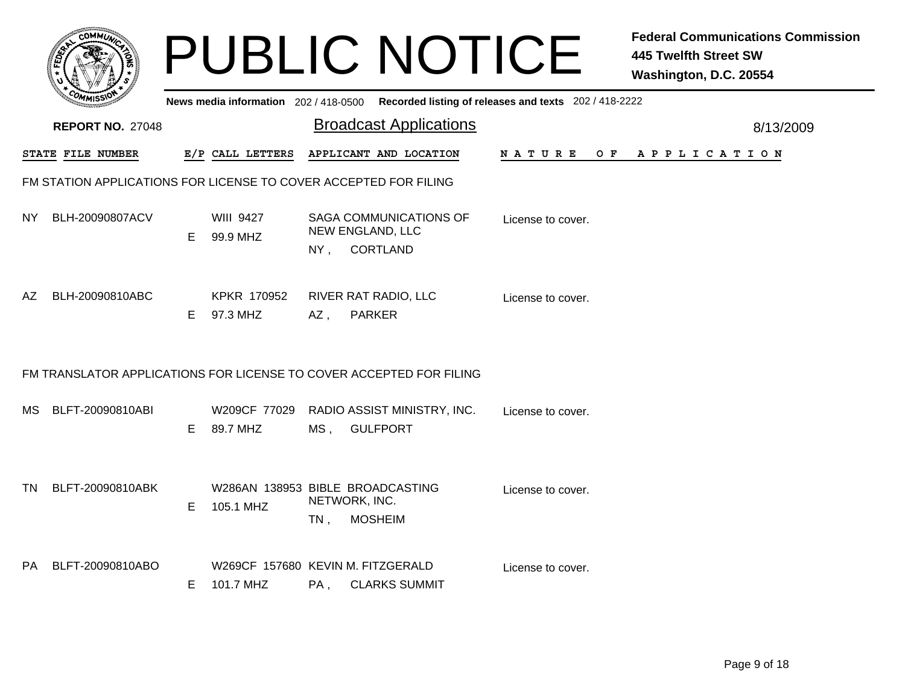|     | r <sub>OMM</sub>                                                 |    |                                                |        | <b>PUBLIC NOTICE</b>                                                                    |                   | <b>Federal Communications Commission</b><br><b>445 Twelfth Street SW</b><br>Washington, D.C. 20554 |  |  |  |  |
|-----|------------------------------------------------------------------|----|------------------------------------------------|--------|-----------------------------------------------------------------------------------------|-------------------|----------------------------------------------------------------------------------------------------|--|--|--|--|
|     |                                                                  |    |                                                |        | News media information 202/418-0500 Recorded listing of releases and texts 202/418-2222 |                   |                                                                                                    |  |  |  |  |
|     | <b>REPORT NO. 27048</b>                                          |    |                                                |        | <b>Broadcast Applications</b>                                                           |                   | 8/13/2009                                                                                          |  |  |  |  |
|     | STATE FILE NUMBER                                                |    | E/P CALL LETTERS                               |        | APPLICANT AND LOCATION                                                                  | N A T U R E       | OF APPLICATION                                                                                     |  |  |  |  |
|     | FM STATION APPLICATIONS FOR LICENSE TO COVER ACCEPTED FOR FILING |    |                                                |        |                                                                                         |                   |                                                                                                    |  |  |  |  |
| NY. | BLH-20090807ACV                                                  | E. | <b>WIII 9427</b><br>99.9 MHZ                   | $NY$ , | <b>SAGA COMMUNICATIONS OF</b><br>NEW ENGLAND, LLC<br>CORTLAND                           | License to cover. |                                                                                                    |  |  |  |  |
| AZ. | BLH-20090810ABC                                                  | E. | KPKR 170952<br>97.3 MHZ                        | $AZ$ , | RIVER RAT RADIO, LLC<br><b>PARKER</b>                                                   | License to cover. |                                                                                                    |  |  |  |  |
|     |                                                                  |    |                                                |        | FM TRANSLATOR APPLICATIONS FOR LICENSE TO COVER ACCEPTED FOR FILING                     |                   |                                                                                                    |  |  |  |  |
| MS. | BLFT-20090810ABI                                                 | Е  | W209CF 77029<br>89.7 MHZ                       | MS,    | RADIO ASSIST MINISTRY, INC.<br><b>GULFPORT</b>                                          | License to cover. |                                                                                                    |  |  |  |  |
| TN  | BLFT-20090810ABK                                                 | Е  | 105.1 MHZ                                      | $TN$ , | W286AN 138953 BIBLE BROADCASTING<br>NETWORK, INC.<br><b>MOSHEIM</b>                     | License to cover. |                                                                                                    |  |  |  |  |
| PA. | BLFT-20090810ABO                                                 | Е  | W269CF 157680 KEVIN M. FITZGERALD<br>101.7 MHZ | $PA$ , | <b>CLARKS SUMMIT</b>                                                                    | License to cover. |                                                                                                    |  |  |  |  |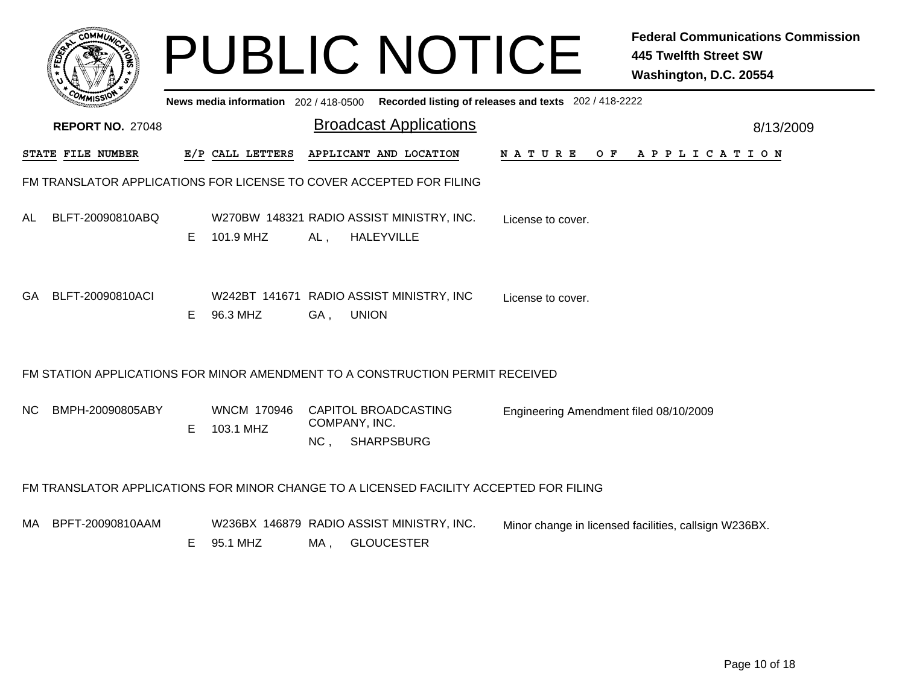|     | <b>COMMUX</b>                                                                          |    |                                 |                                  | <b>PUBLIC NOTICE</b>                                           |                                                                                             | <b>Federal Communications Commission</b><br><b>445 Twelfth Street SW</b><br>Washington, D.C. 20554 |  |  |  |
|-----|----------------------------------------------------------------------------------------|----|---------------------------------|----------------------------------|----------------------------------------------------------------|---------------------------------------------------------------------------------------------|----------------------------------------------------------------------------------------------------|--|--|--|
|     |                                                                                        |    |                                 |                                  |                                                                | News media information 202 / 418-0500 Recorded listing of releases and texts 202 / 418-2222 |                                                                                                    |  |  |  |
|     | <b>REPORT NO. 27048</b>                                                                |    |                                 |                                  | <b>Broadcast Applications</b>                                  |                                                                                             | 8/13/2009                                                                                          |  |  |  |
|     | <b>STATE FILE NUMBER</b>                                                               |    | E/P CALL LETTERS                |                                  | APPLICANT AND LOCATION                                         | <b>NATURE</b>                                                                               | OF APPLICATION                                                                                     |  |  |  |
|     | FM TRANSLATOR APPLICATIONS FOR LICENSE TO COVER ACCEPTED FOR FILING                    |    |                                 |                                  |                                                                |                                                                                             |                                                                                                    |  |  |  |
| AL  | BLFT-20090810ABQ                                                                       | E. | 101.9 MHZ                       | AL,                              | W270BW 148321 RADIO ASSIST MINISTRY, INC.<br><b>HALEYVILLE</b> | License to cover.                                                                           |                                                                                                    |  |  |  |
| GA. | BLFT-20090810ACI                                                                       | E. | 96.3 MHZ                        | <b>UNION</b><br>GA,              | W242BT 141671 RADIO ASSIST MINISTRY, INC                       | License to cover.                                                                           |                                                                                                    |  |  |  |
|     | FM STATION APPLICATIONS FOR MINOR AMENDMENT TO A CONSTRUCTION PERMIT RECEIVED          |    |                                 |                                  |                                                                |                                                                                             |                                                                                                    |  |  |  |
| NС  | BMPH-20090805ABY                                                                       | E. | <b>WNCM 170946</b><br>103.1 MHZ | COMPANY, INC.<br>NC <sub>1</sub> | CAPITOL BROADCASTING<br><b>SHARPSBURG</b>                      | Engineering Amendment filed 08/10/2009                                                      |                                                                                                    |  |  |  |
|     | FM TRANSLATOR APPLICATIONS FOR MINOR CHANGE TO A LICENSED FACILITY ACCEPTED FOR FILING |    |                                 |                                  |                                                                |                                                                                             |                                                                                                    |  |  |  |
| MA. | BPFT-20090810AAM                                                                       | E. | 95.1 MHZ                        | MA.                              | W236BX 146879 RADIO ASSIST MINISTRY, INC.<br><b>GLOUCESTER</b> |                                                                                             | Minor change in licensed facilities, callsign W236BX.                                              |  |  |  |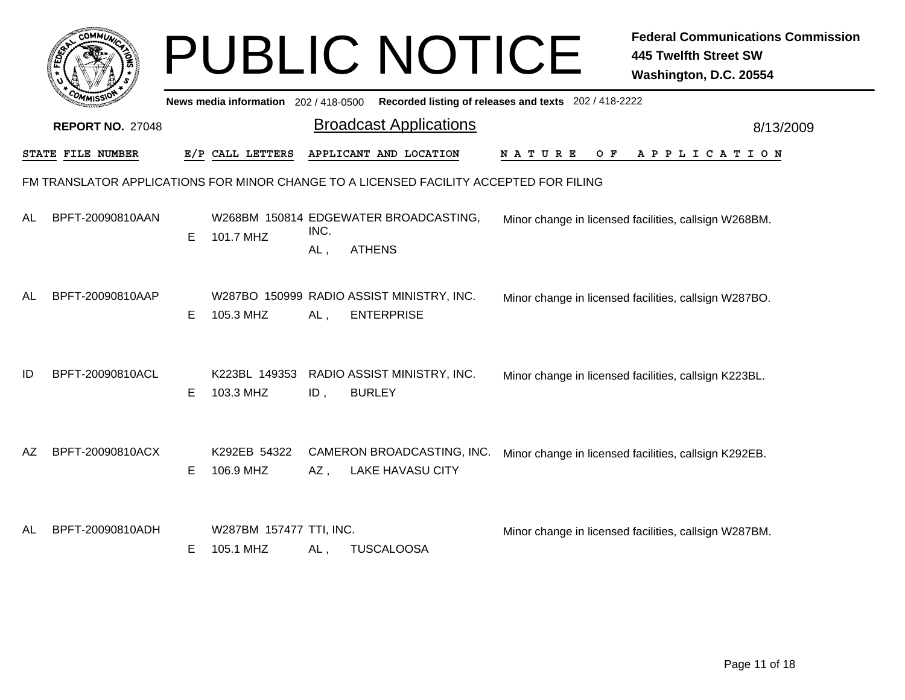|    |                         |    |                                      |             | <b>PUBLIC NOTICE</b>                                                                   |                                                       | <b>Federal Communications Commission</b><br><b>445 Twelfth Street SW</b><br>Washington, D.C. 20554 |
|----|-------------------------|----|--------------------------------------|-------------|----------------------------------------------------------------------------------------|-------------------------------------------------------|----------------------------------------------------------------------------------------------------|
|    |                         |    | News media information 202/418-0500  |             |                                                                                        | Recorded listing of releases and texts 202 / 418-2222 |                                                                                                    |
|    | <b>REPORT NO. 27048</b> |    |                                      |             | <b>Broadcast Applications</b>                                                          |                                                       | 8/13/2009                                                                                          |
|    | STATE FILE NUMBER       |    | E/P CALL LETTERS                     |             | APPLICANT AND LOCATION                                                                 | N A T U R E<br>O F                                    | A P P L I C A T I O N                                                                              |
|    |                         |    |                                      |             | FM TRANSLATOR APPLICATIONS FOR MINOR CHANGE TO A LICENSED FACILITY ACCEPTED FOR FILING |                                                       |                                                                                                    |
| AL | BPFT-20090810AAN        | E  | 101.7 MHZ                            | INC.<br>AL, | W268BM 150814 EDGEWATER BROADCASTING,<br><b>ATHENS</b>                                 |                                                       | Minor change in licensed facilities, callsign W268BM.                                              |
| AL | BPFT-20090810AAP        | E. | 105.3 MHZ                            | AL,         | W287BO 150999 RADIO ASSIST MINISTRY, INC.<br><b>ENTERPRISE</b>                         |                                                       | Minor change in licensed facilities, callsign W287BO.                                              |
| ID | BPFT-20090810ACL        | Е  | K223BL 149353<br>103.3 MHZ           | ID,         | RADIO ASSIST MINISTRY, INC.<br><b>BURLEY</b>                                           |                                                       | Minor change in licensed facilities, callsign K223BL.                                              |
| AZ | BPFT-20090810ACX        | E. | K292EB 54322<br>106.9 MHZ            | AZ,         | CAMERON BROADCASTING, INC.<br><b>LAKE HAVASU CITY</b>                                  |                                                       | Minor change in licensed facilities, callsign K292EB.                                              |
| AL | BPFT-20090810ADH        | Е  | W287BM 157477 TTI, INC.<br>105.1 MHZ | AL,         | <b>TUSCALOOSA</b>                                                                      |                                                       | Minor change in licensed facilities, callsign W287BM.                                              |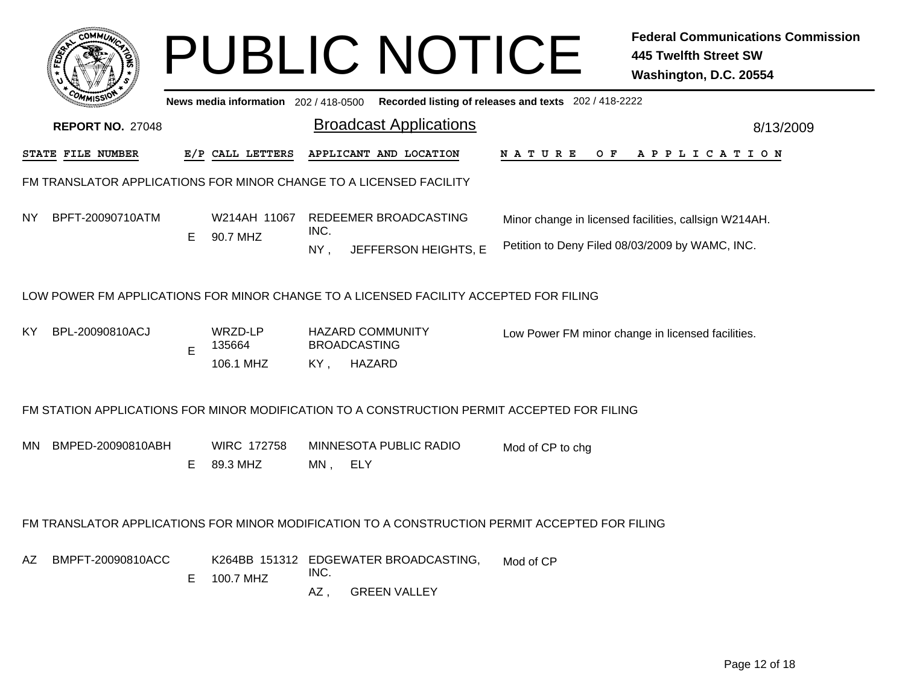|     |                                                                    |    |                                       |             | <b>PUBLIC NOTICE</b>                                                                           |                                                       | <b>Federal Communications Commission</b><br><b>445 Twelfth Street SW</b><br>Washington, D.C. 20554 |  |  |  |  |
|-----|--------------------------------------------------------------------|----|---------------------------------------|-------------|------------------------------------------------------------------------------------------------|-------------------------------------------------------|----------------------------------------------------------------------------------------------------|--|--|--|--|
|     |                                                                    |    | News media information 202 / 418-0500 |             |                                                                                                | Recorded listing of releases and texts 202 / 418-2222 |                                                                                                    |  |  |  |  |
|     | <b>REPORT NO. 27048</b>                                            |    |                                       |             | <b>Broadcast Applications</b>                                                                  |                                                       | 8/13/2009                                                                                          |  |  |  |  |
|     | STATE FILE NUMBER                                                  |    | E/P CALL LETTERS                      |             | APPLICANT AND LOCATION                                                                         | N A T U R E<br>O F                                    | APPLICATION                                                                                        |  |  |  |  |
|     | FM TRANSLATOR APPLICATIONS FOR MINOR CHANGE TO A LICENSED FACILITY |    |                                       |             |                                                                                                |                                                       |                                                                                                    |  |  |  |  |
| NY. | BPFT-20090710ATM                                                   |    | W214AH 11067<br>90.7 MHZ              |             | REDEEMER BROADCASTING                                                                          |                                                       | Minor change in licensed facilities, callsign W214AH.                                              |  |  |  |  |
|     |                                                                    | E  |                                       | INC.<br>NY, | JEFFERSON HEIGHTS, E                                                                           | Petition to Deny Filed 08/03/2009 by WAMC, INC.       |                                                                                                    |  |  |  |  |
|     |                                                                    |    |                                       |             | LOW POWER FM APPLICATIONS FOR MINOR CHANGE TO A LICENSED FACILITY ACCEPTED FOR FILING          |                                                       |                                                                                                    |  |  |  |  |
| KY  | BPL-20090810ACJ                                                    | E  | WRZD-LP<br>135664                     |             | <b>HAZARD COMMUNITY</b><br><b>BROADCASTING</b>                                                 |                                                       | Low Power FM minor change in licensed facilities.                                                  |  |  |  |  |
|     |                                                                    |    | 106.1 MHZ                             | KY,         | HAZARD                                                                                         |                                                       |                                                                                                    |  |  |  |  |
|     |                                                                    |    |                                       |             | FM STATION APPLICATIONS FOR MINOR MODIFICATION TO A CONSTRUCTION PERMIT ACCEPTED FOR FILING    |                                                       |                                                                                                    |  |  |  |  |
| MN. | BMPED-20090810ABH                                                  | E. | <b>WIRC 172758</b><br>89.3 MHZ        | MN,         | MINNESOTA PUBLIC RADIO<br>ELY                                                                  | Mod of CP to chg                                      |                                                                                                    |  |  |  |  |
|     |                                                                    |    |                                       |             | FM TRANSLATOR APPLICATIONS FOR MINOR MODIFICATION TO A CONSTRUCTION PERMIT ACCEPTED FOR FILING |                                                       |                                                                                                    |  |  |  |  |
| AZ  | BMPFT-20090810ACC                                                  |    |                                       |             | K264BB 151312 EDGEWATER BROADCASTING,                                                          | Mod of CP                                             |                                                                                                    |  |  |  |  |
|     |                                                                    | E. | 100.7 MHZ                             | INC.<br>AZ, | <b>GREEN VALLEY</b>                                                                            |                                                       |                                                                                                    |  |  |  |  |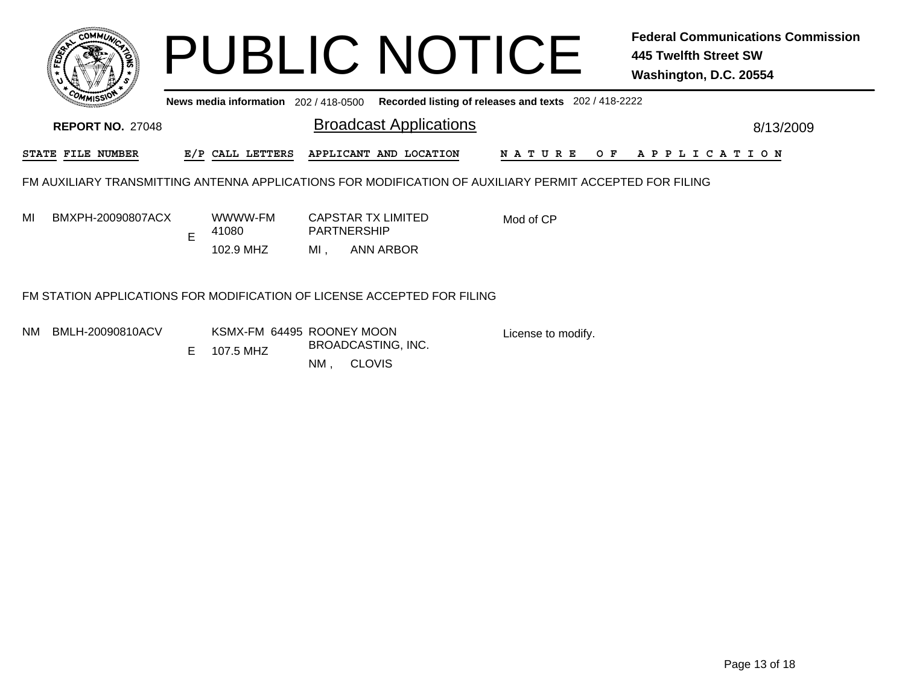|     | COMMUN                                                                                                  |   |                                                          |                                                 | <b>PUBLIC NOTICE</b>          |                                                       | <b>Federal Communications Commission</b><br>445 Twelfth Street SW<br>Washington, D.C. 20554 |           |
|-----|---------------------------------------------------------------------------------------------------------|---|----------------------------------------------------------|-------------------------------------------------|-------------------------------|-------------------------------------------------------|---------------------------------------------------------------------------------------------|-----------|
|     |                                                                                                         |   | News media information 202 / 418-0500                    |                                                 |                               | Recorded listing of releases and texts 202 / 418-2222 |                                                                                             |           |
|     | <b>REPORT NO. 27048</b>                                                                                 |   |                                                          |                                                 | <b>Broadcast Applications</b> |                                                       |                                                                                             | 8/13/2009 |
|     | STATE FILE NUMBER                                                                                       |   | E/P CALL LETTERS                                         |                                                 | APPLICANT AND LOCATION        | N A T U R E<br>O F                                    | A P P L I C A T I O N                                                                       |           |
|     | FM AUXILIARY TRANSMITTING ANTENNA APPLICATIONS FOR MODIFICATION OF AUXILIARY PERMIT ACCEPTED FOR FILING |   |                                                          |                                                 |                               |                                                       |                                                                                             |           |
| MI  | BMXPH-20090807ACX                                                                                       | E | WWWW-FM<br>41080                                         | <b>CAPSTAR TX LIMITED</b><br><b>PARTNERSHIP</b> |                               | Mod of CP                                             |                                                                                             |           |
|     |                                                                                                         |   | 102.9 MHZ                                                | MI,                                             | <b>ANN ARBOR</b>              |                                                       |                                                                                             |           |
|     | FM STATION APPLICATIONS FOR MODIFICATION OF LICENSE ACCEPTED FOR FILING                                 |   |                                                          |                                                 |                               |                                                       |                                                                                             |           |
| NM. | BMLH-20090810ACV                                                                                        |   | KSMX-FM 64495 ROONEY MOON<br>$\Gamma$ 407 $\epsilon$ MUZ | BROADCASTING, INC.                              |                               | License to modify.                                    |                                                                                             |           |

E 107.5 MHZ

NM , CLOVIS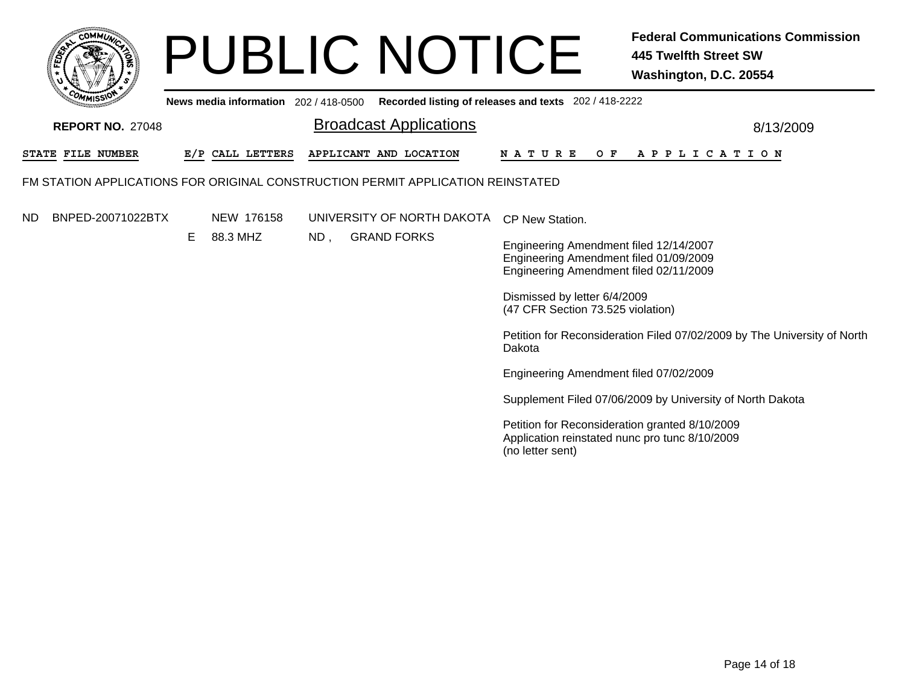

Broadcast Applications 8/13/2009 **News media information** 202 / 418-0500 **Recorded listing of releases and texts** 202 / 418-2222 **REPORT NO.** 27048STATE FILE NUMBER **FILE NUMBER E/P CALL LETTERS APPLICANT AND LOCATION N A T U R E O F A P P L I C A T I O N** FM STATION APPLICATIONS FOR ORIGINAL CONSTRUCTION PERMIT APPLICATION REINSTATEDNDD BNPED-20071022BTX NEW\_176158 UNIVERSITY OF NORTH DAKOTA CP New Station. ND , GRAND FORKS BNPED-20071022BTXE 88.3 MHZ Engineering Amendment filed 12/14/2007 Engineering Amendment filed 01/09/2009 Engineering Amendment filed 02/11/2009 Dismissed by letter 6/4/2009 (47 CFR Section 73.525 violation) Petition for Reconsideration Filed 07/02/2009 by The University of North DakotaEngineering Amendment filed 07/02/2009 Supplement Filed 07/06/2009 by University of North Dakota Petition for Reconsideration granted 8/10/2009 Application reinstated nunc pro tunc 8/10/2009 (no letter sent)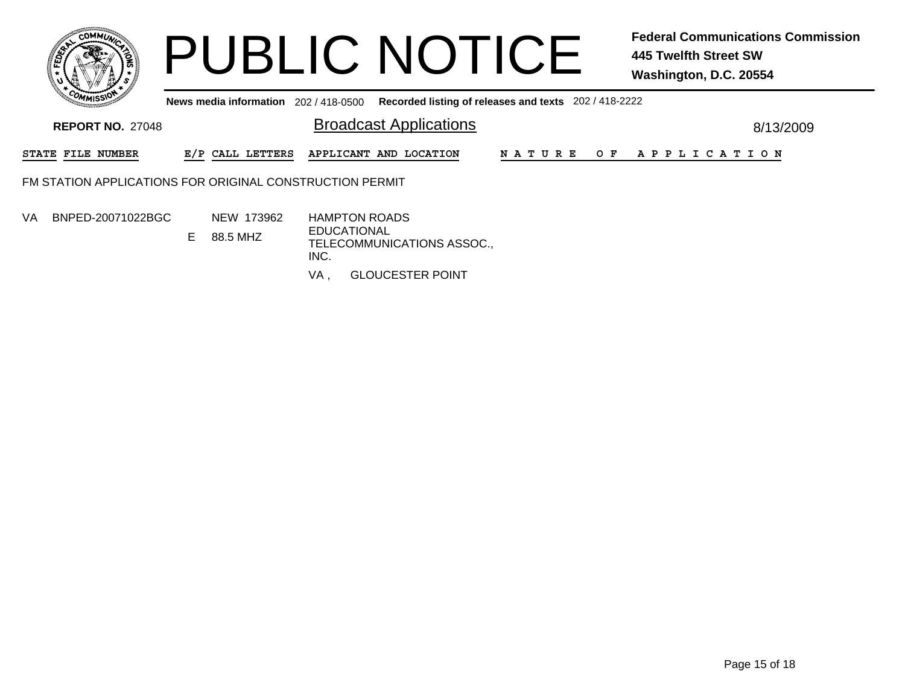

**News media information** 202 / 418-0500**Recorded listing of releases and texts** 202 / 418-2222

| <b>REPORT NO. 27048</b>                                  |  |                          |    | <b>Broadcast Applications</b> |                                                                                  |  | 8/13/2009 |             |     |  |  |  |  |  |                       |  |  |
|----------------------------------------------------------|--|--------------------------|----|-------------------------------|----------------------------------------------------------------------------------|--|-----------|-------------|-----|--|--|--|--|--|-----------------------|--|--|
|                                                          |  | <b>STATE FILE NUMBER</b> |    | E/P CALL LETTERS              | APPLICANT AND LOCATION                                                           |  |           | N A T U R E | O F |  |  |  |  |  | A P P L I C A T I O N |  |  |
| FM STATION APPLICATIONS FOR ORIGINAL CONSTRUCTION PERMIT |  |                          |    |                               |                                                                                  |  |           |             |     |  |  |  |  |  |                       |  |  |
| VA.                                                      |  | BNPED-20071022BGC        | E. | NEW 173962<br>88.5 MHZ        | <b>HAMPTON ROADS</b><br><b>EDUCATIONAL</b><br>TELECOMMUNICATIONS ASSOC.,<br>INC. |  |           |             |     |  |  |  |  |  |                       |  |  |

VA, , GLOUCESTER POINT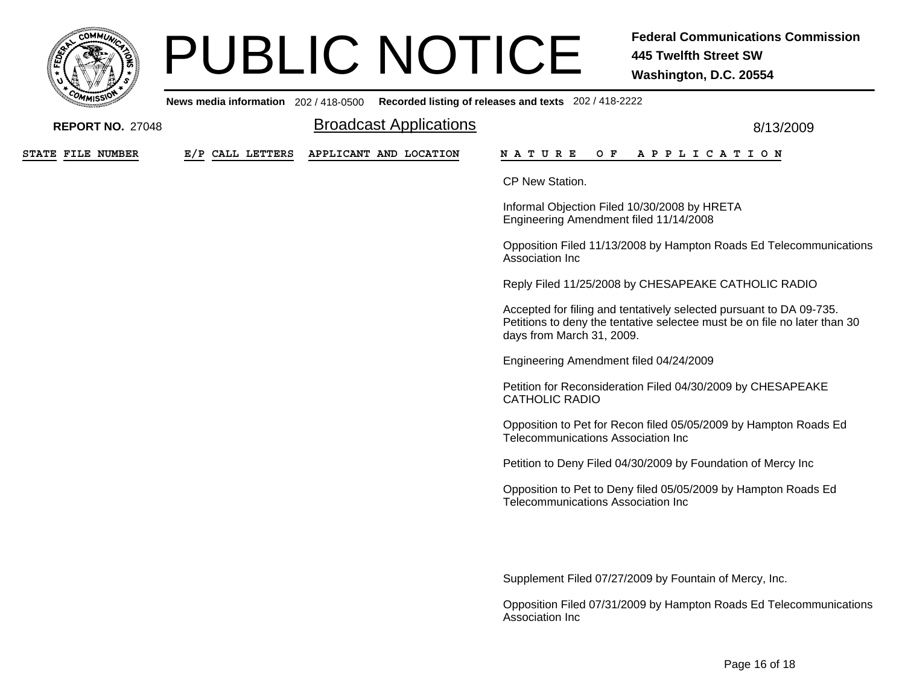

**News media information** 202 / 418-0500**Recorded listing of releases and texts** 202 / 418-2222

| <b>REPORT NO. 27048</b> |                  | <b>Broadcast Applications</b> | 8/13/2009                                                                                                                                                                     |
|-------------------------|------------------|-------------------------------|-------------------------------------------------------------------------------------------------------------------------------------------------------------------------------|
| STATE FILE NUMBER       | E/P CALL LETTERS | APPLICANT AND LOCATION        | <b>NATURE</b><br>O F<br>A P P L I C A T I O N                                                                                                                                 |
|                         |                  |                               | CP New Station.                                                                                                                                                               |
|                         |                  |                               | Informal Objection Filed 10/30/2008 by HRETA<br>Engineering Amendment filed 11/14/2008                                                                                        |
|                         |                  |                               | Opposition Filed 11/13/2008 by Hampton Roads Ed Telecommunications<br>Association Inc                                                                                         |
|                         |                  |                               | Reply Filed 11/25/2008 by CHESAPEAKE CATHOLIC RADIO                                                                                                                           |
|                         |                  |                               | Accepted for filing and tentatively selected pursuant to DA 09-735.<br>Petitions to deny the tentative selectee must be on file no later than 30<br>days from March 31, 2009. |
|                         |                  |                               | Engineering Amendment filed 04/24/2009                                                                                                                                        |
|                         |                  |                               | Petition for Reconsideration Filed 04/30/2009 by CHESAPEAKE<br><b>CATHOLIC RADIO</b>                                                                                          |
|                         |                  |                               | Opposition to Pet for Recon filed 05/05/2009 by Hampton Roads Ed<br><b>Telecommunications Association Inc.</b>                                                                |
|                         |                  |                               | Petition to Deny Filed 04/30/2009 by Foundation of Mercy Inc                                                                                                                  |
|                         |                  |                               | Opposition to Pet to Deny filed 05/05/2009 by Hampton Roads Ed<br>Telecommunications Association Inc                                                                          |
|                         |                  |                               |                                                                                                                                                                               |
|                         |                  |                               | Supplement Filed 07/27/2009 by Fountain of Mercy, Inc.                                                                                                                        |
|                         |                  |                               | Opposition Filed 07/31/2009 by Hampton Roads Ed Telecommunications                                                                                                            |

Opposition Filed 07/31/2009 by Hampton Roads Ed Telecommunications Association Inc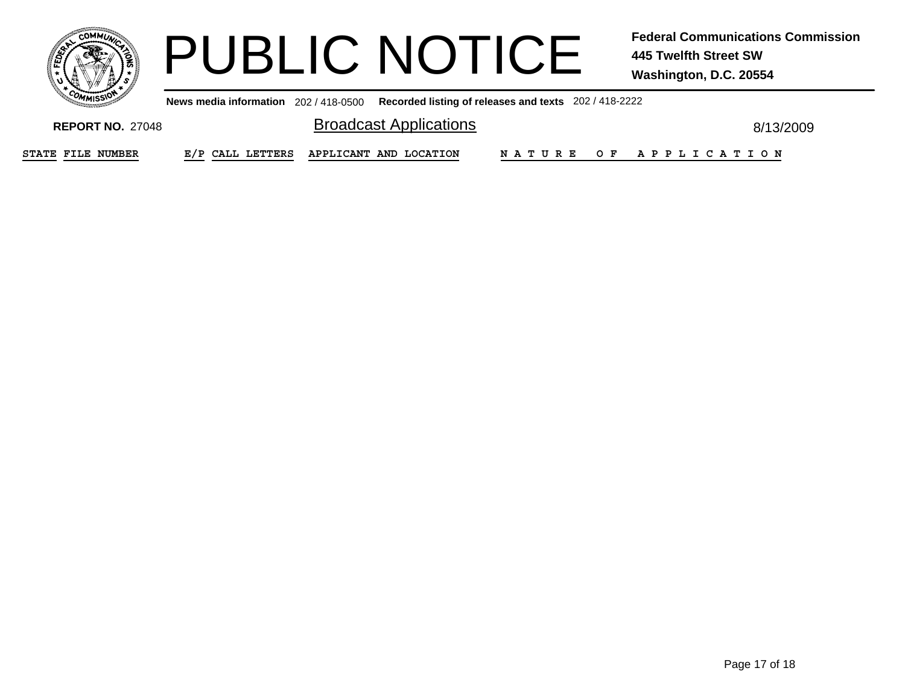

**News media information** 202 / 418-0500**Recorded listing of releases and texts** 202 / 418-2222

**REPORT NO.** 27048

Broadcast Applications **Broadcast Applications 8/13/2009** 

**STATE**

**FILE NUMBER E/P CALL LETTERS APPLICANT AND LOCATION N A T U R E O F A P P L I C A T I O N**